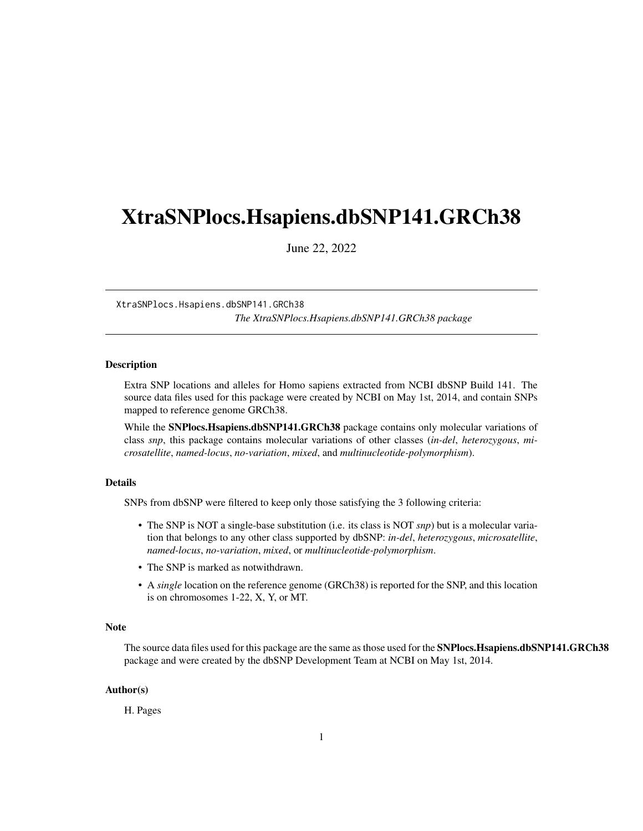## <span id="page-0-1"></span><span id="page-0-0"></span>XtraSNPlocs.Hsapiens.dbSNP141.GRCh38

June 22, 2022

XtraSNPlocs.Hsapiens.dbSNP141.GRCh38 *The XtraSNPlocs.Hsapiens.dbSNP141.GRCh38 package*

#### **Description**

Extra SNP locations and alleles for Homo sapiens extracted from NCBI dbSNP Build 141. The source data files used for this package were created by NCBI on May 1st, 2014, and contain SNPs mapped to reference genome GRCh38.

While the SNPlocs.Hsapiens.dbSNP141.GRCh38 package contains only molecular variations of class *snp*, this package contains molecular variations of other classes (*in-del*, *heterozygous*, *microsatellite*, *named-locus*, *no-variation*, *mixed*, and *multinucleotide-polymorphism*).

#### Details

SNPs from dbSNP were filtered to keep only those satisfying the 3 following criteria:

- The SNP is NOT a single-base substitution (i.e. its class is NOT *snp*) but is a molecular variation that belongs to any other class supported by dbSNP: *in-del*, *heterozygous*, *microsatellite*, *named-locus*, *no-variation*, *mixed*, or *multinucleotide-polymorphism*.
- The SNP is marked as notwithdrawn.
- A *single* location on the reference genome (GRCh38) is reported for the SNP, and this location is on chromosomes 1-22, X, Y, or MT.

#### Note

The source data files used for this package are the same as those used for the **SNPlocs.Hsapiens.dbSNP141.GRCh38** package and were created by the dbSNP Development Team at NCBI on May 1st, 2014.

#### Author(s)

H. Pages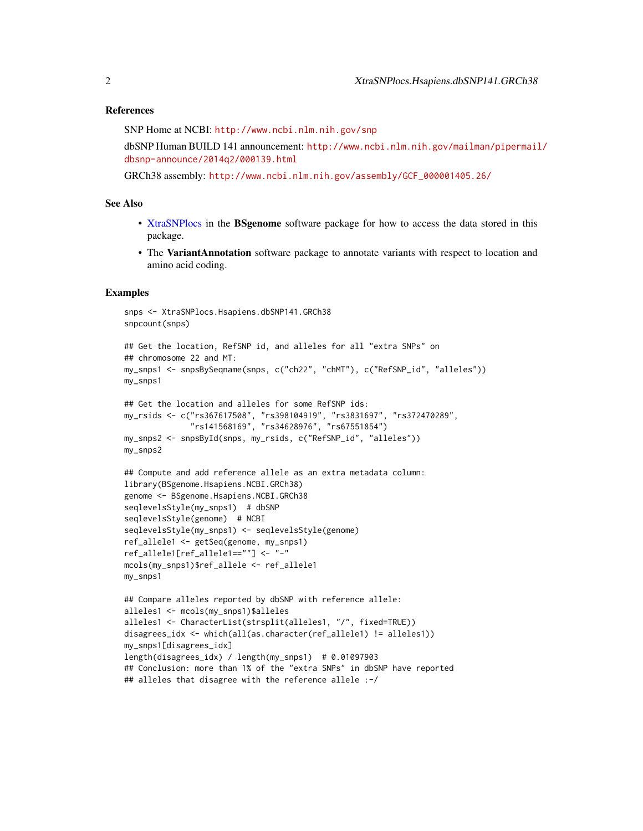#### <span id="page-1-0"></span>References

SNP Home at NCBI: <http://www.ncbi.nlm.nih.gov/snp>

dbSNP Human BUILD 141 announcement: [http://www.ncbi.nlm.nih.gov/mailman/pipermail](http://www.ncbi.nlm.nih.gov/mailman/pipermail/dbsnp-announce/2014q2/000139.html)/ [dbsnp-announce/2014q2/000139.html](http://www.ncbi.nlm.nih.gov/mailman/pipermail/dbsnp-announce/2014q2/000139.html)

GRCh38 assembly: [http://www.ncbi.nlm.nih.gov/assembly/GCF\\_000001405.26/](http://www.ncbi.nlm.nih.gov/assembly/GCF_000001405.26/)

### See Also

- [XtraSNPlocs](#page-0-0) in the BSgenome software package for how to access the data stored in this package.
- The VariantAnnotation software package to annotate variants with respect to location and amino acid coding.

#### Examples

```
snps <- XtraSNPlocs.Hsapiens.dbSNP141.GRCh38
snpcount(snps)
## Get the location, RefSNP id, and alleles for all "extra SNPs" on
## chromosome 22 and MT:
my_snps1 <- snpsBySeqname(snps, c("ch22", "chMT"), c("RefSNP_id", "alleles"))
my_snps1
## Get the location and alleles for some RefSNP ids:
my_rsids <- c("rs367617508", "rs398104919", "rs3831697", "rs372470289",
              "rs141568169", "rs34628976", "rs67551854")
my_snps2 <- snpsById(snps, my_rsids, c("RefSNP_id", "alleles"))
my_snps2
## Compute and add reference allele as an extra metadata column:
library(BSgenome.Hsapiens.NCBI.GRCh38)
genome <- BSgenome.Hsapiens.NCBI.GRCh38
seqlevelsStyle(my_snps1) # dbSNP
seqlevelsStyle(genome) # NCBI
seqlevelsStyle(my_snps1) <- seqlevelsStyle(genome)
ref_allele1 <- getSeq(genome, my_snps1)
ref_allele1[ref_allele1==""] <- "-"
mcols(my_snps1)$ref_allele <- ref_allele1
my_snps1
## Compare alleles reported by dbSNP with reference allele:
alleles1 <- mcols(my_snps1)$alleles
alleles1 <- CharacterList(strsplit(alleles1, "/", fixed=TRUE))
disagrees_idx <- which(all(as.character(ref_allele1) != alleles1))
my_snps1[disagrees_idx]
length(disagrees_idx) / length(my_snps1) # 0.01097903
```
## Conclusion: more than 1% of the "extra SNPs" in dbSNP have reported ## alleles that disagree with the reference allele :-/